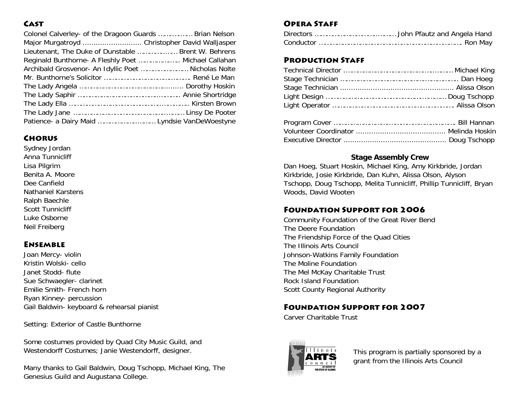## **CAST**

| Colonel Calverley- of the Dragoon Guards  Brian Nelson |  |
|--------------------------------------------------------|--|
| Major Murgatroyd  Christopher David Walljasper         |  |
| Lieutenant, The Duke of Dunstable  Brent W. Behrens    |  |
| Reginald Bunthorne- A Fleshly Poet  Michael Callahan   |  |
| Archibald Grosvenor- An Idyllic Poet  Nicholas Nolte   |  |
|                                                        |  |
|                                                        |  |
|                                                        |  |
|                                                        |  |
|                                                        |  |
| Patience- a Dairy Maid  Lyndsie VanDeWoestyne          |  |

#### **CHORUS**

Sydney Jordan Anna Tunnicliff Lisa Pilgrim Benita A. Moore Dee Canfield Nathaniel Karstens Ralph Baechle Scott Tunnicliff Luke Osborne Neil Freiberg

## Ensemble

Joan Mercy- violin Kristin Wolski- cello Janet Stodd- flute Sue Schwaegler- clarinet Emilie Smith- French horn Ryan Kinney- percussion Gail Baldwin- keyboard & rehearsal pianist

Setting: Exterior of Castle Bunthorne

Some costumes provided by Quad City Music Guild, and Westendorff Costumes; Janie Westendorff, designer.

Many thanks to Gail Baldwin, Doug Tschopp, Michael King, The Genesius Guild and Augustana College.

## Opera Staff

## Production Staff

#### **Stage Assembly Crew**

Dan Hoeg, Stuart Hoskin, Michael King, Amy Kirkbride, Jordan Kirkbride, Josie Kirkbride, Dan Kuhn, Alissa Olson, Alyson Tschopp, Doug Tschopp, Melita Tunnicliff, Phillip Tunnicliff, Bryan Woods, David Wooten

## Foundation Support for 2006

Community Foundation of the Great River Bend The Deere Foundation The Friendship Force of the Quad Cities The Illinois Arts Council Johnson-Watkins Family Foundation The Moline Foundation The Mel McKay Charitable Trust Rock Island Foundation Scott County Regional Authority

# Foundation Support for 2007

Carver Charitable Trust



This program is partially sponsored by a grant from the Illinois Arts Council